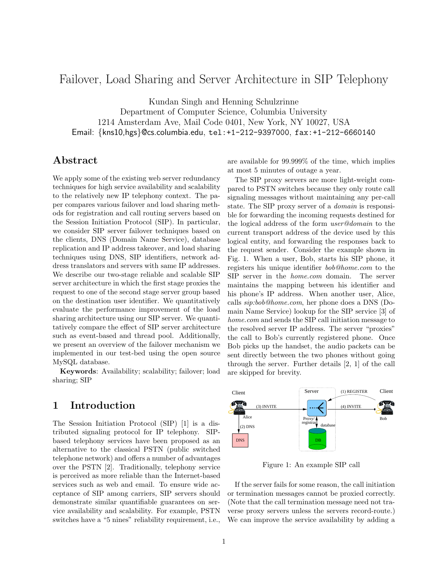# Failover, Load Sharing and Server Architecture in SIP Telephony

Kundan Singh and Henning Schulzrinne

Department of Computer Science, Columbia University 1214 Amsterdam Ave, Mail Code 0401, New York, NY 10027, USA

Email: {kns10,hgs}@cs.columbia.edu, tel:+1-212-9397000, fax:+1-212-6660140

# **Abstract**

We apply some of the existing web server redundancy techniques for high service availability and scalability to the relatively new IP telephony context. The paper compares various failover and load sharing methods for registration and call routing servers based on the Session Initiation Protocol (SIP). In particular, we consider SIP server failover techniques based on the clients, DNS (Domain Name Service), database replication and IP address takeover, and load sharing techniques using DNS, SIP identifiers, network address translators and servers with same IP addresses. We describe our two-stage reliable and scalable SIP server architecture in which the first stage proxies the request to one of the second stage server group based on the destination user identifier. We quantitatively evaluate the performance improvement of the load sharing architecture using our SIP server. We quantitatively compare the effect of SIP server architecture such as event-based and thread pool. Additionally, we present an overview of the failover mechanism we implemented in our test-bed using the open source MySQL database.

**Keywords**: Availability; scalability; failover; load sharing; SIP

## **1 Introduction**

The Session Initiation Protocol (SIP) [1] is a distributed signaling protocol for IP telephony. SIPbased telephony services have been proposed as an alternative to the classical PSTN (public switched telephone network) and offers a number of advantages over the PSTN [2]. Traditionally, telephony service is perceived as more reliable than the Internet-based services such as web and email. To ensure wide acceptance of SIP among carriers, SIP servers should demonstrate similar quantifiable guarantees on service availability and scalability. For example, PSTN switches have a "5 nines" reliability requirement, i.e.,

are available for 99.999% of the time, which implies at most 5 minutes of outage a year.

The SIP proxy servers are more light-weight compared to PSTN switches because they only route call signaling messages without maintaining any per-call state. The SIP proxy server of a *domain* is responsible for forwarding the incoming requests destined for the logical address of the form *user@domain* to the current transport address of the device used by this logical entity, and forwarding the responses back to the request sender. Consider the example shown in Fig. 1. When a user, Bob, starts his SIP phone, it registers his unique identifier *bob@home.com* to the SIP server in the *home.com* domain. The server maintains the mapping between his identifier and his phone's IP address. When another user, Alice, calls *sip:bob@home.com*, her phone does a DNS (Domain Name Service) lookup for the SIP service [3] of *home.com* and sends the SIP call initiation message to the resolved server IP address. The server "proxies" the call to Bob's currently registered phone. Once Bob picks up the handset, the audio packets can be sent directly between the two phones without going through the server. Further details [2, 1] of the call are skipped for brevity.



Figure 1: An example SIP call

If the server fails for some reason, the call initiation or termination messages cannot be proxied correctly. (Note that the call termination message need not traverse proxy servers unless the servers record-route.) We can improve the service availability by adding a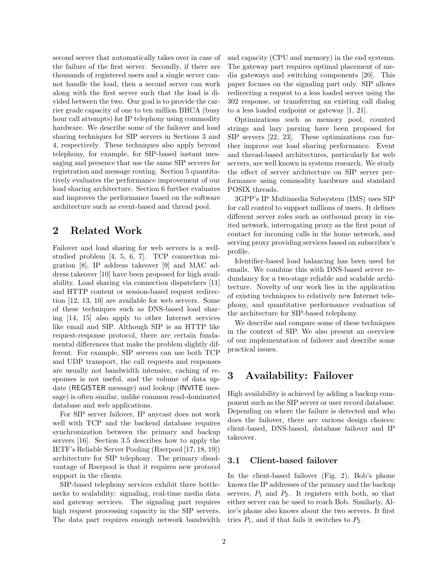second server that automatically takes over in case of the failure of the first server. Secondly, if there are thousands of registered users and a single server cannot handle the load, then a second server can work along with the first server such that the load is divided between the two. Our goal is to provide the carrier grade capacity of one to ten million BHCA (busy hour call attempts) for IP telephony using commodity hardware. We describe some of the failover and load sharing techniques for SIP servers in Sections 3 and 4, respectively. These techniques also apply beyond telephony, for example, for SIP-based instant messaging and presence that use the same SIP servers for registration and message routing. Section 5 quantitatively evaluates the performance improvement of our load sharing architecture. Section 6 further evaluates and improves the performance based on the software architecture such as event-based and thread pool.

# **2 Related Work**

Failover and load sharing for web servers is a wellstudied problem [4, 5, 6, 7]. TCP connection migration [8], IP address takeover [9] and MAC address takeover [10] have been proposed for high availability. Load sharing via connection dispatchers [11] and HTTP content or session-based request redirection [12, 13, 10] are available for web servers. Some of these techniques such as DNS-based load sharing [14, 15] also apply to other Internet services like email and SIP. Although SIP is an HTTP like request-response protocol, there are certain fundamental differences that make the problem slightly different. For example, SIP servers can use both TCP and UDP transport, the call requests and responses are usually not bandwidth intensive, caching of responses is not useful, and the volume of data update (REGISTER message) and lookup (INVITE message) is often similar, unlike common read-dominated database and web applications.

For SIP server failover, IP anycast does not work well with TCP and the backend database requires synchronization between the primary and backup servers [16]. Section 3.5 describes how to apply the IETF's Reliable Server Pooling (Rserpool [17, 18, 19]) architecture for SIP telephony. The primary disadvantage of Rserpool is that it requires new protocol support in the clients.

SIP-based telephony services exhibit three bottlenecks to scalability: signaling, real-time media data and gateway services. The signaling part requires high request processing capacity in the SIP servers. The data part requires enough network bandwidth and capacity (CPU and memory) in the end systems. The gateway part requires optimal placement of media gateways and switching components [20]. This paper focuses on the signaling part only. SIP allows redirecting a request to a less loaded server using the 302 response, or transferring an existing call dialog to a less loaded endpoint or gateway [1, 21].

Optimizations such as memory pool, counted strings and lazy parsing have been proposed for SIP servers [22, 23]. These optimizations can further improve our load sharing performance. Event and thread-based architectures, particularly for web servers, are well known in systems research. We study the effect of server architecture on SIP server performance using commodity hardware and standard POSIX threads.

3GPP's IP Multimedia Subsystem (IMS) uses SIP for call control to support millions of users. It defines different server roles such as outbound proxy in visited network, interrogating proxy as the first point of contact for incoming calls in the home network, and serving proxy providing services based on subscriber's profile.

Identifier-based load balancing has been used for emails. We combine this with DNS-based server redundancy for a two-stage reliable and scalable architecture. Novelty of our work lies in the application of existing techniques to relatively new Internet telephony, and quantitative performance evaluation of the architecture for SIP-based telephony.

We describe and compare some of these techniques in the context of SIP. We also present an overview of our implementation of failover and describe some practical issues.

# **3 Availability: Failover**

High availability is achieved by adding a backup component such as the SIP server or user record database. Depending on where the failure is detected and who does the failover, there are various design choices: client-based, DNS-based, database failover and IP takeover.

## **3.1 Client-based failover**

In the client-based failover (Fig. 2), Bob's phone knows the IP addresses of the primary and the backup servers,  $P_1$  and  $P_2$ . It registers with both, so that either server can be used to reach Bob. Similarly, Alice's phone also knows about the two servers. It first tries  $P_1$ , and if that fails it switches to  $P_2$ .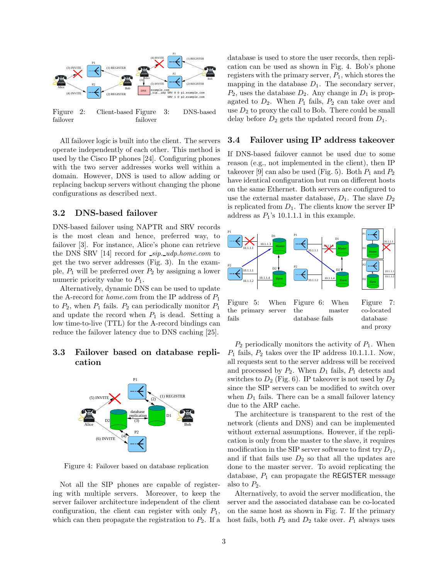

Figure 2: Client-based Figure failover 3: DNS-based failover

All failover logic is built into the client. The servers operate independently of each other. This method is used by the Cisco IP phones [24]. Configuring phones with the two server addresses works well within a domain. However, DNS is used to allow adding or replacing backup servers without changing the phone configurations as described next.

### **3.2 DNS-based failover**

DNS-based failover using NAPTR and SRV records is the most clean and hence, preferred way, to failover [3]. For instance, Alice's phone can retrieve the DNS SRV [14] record for *sip. udp.home.com* to get the two server addresses (Fig. 3). In the example,  $P_1$  will be preferred over  $P_2$  by assigning a lower numeric priority value to  $P_1$ .

Alternatively, dynamic DNS can be used to update the A-record for *home.com* from the IP address of P<sup>1</sup> to  $P_2$ , when  $P_1$  fails.  $P_2$  can periodically monitor  $P_1$ and update the record when  $P_1$  is dead. Setting a low time-to-live (TTL) for the A-record bindings can reduce the failover latency due to DNS caching [25].

## **3.3 Failover based on database replication**



Figure 4: Failover based on database replication

Not all the SIP phones are capable of registering with multiple servers. Moreover, to keep the server failover architecture independent of the client configuration, the client can register with only  $P_1$ , which can then propagate the registration to  $P_2$ . If a

database is used to store the user records, then replication can be used as shown in Fig. 4. Bob's phone registers with the primary server,  $P_1$ , which stores the mapping in the database  $D_1$ . The secondary server,  $P_2$ , uses the database  $D_2$ . Any change in  $D_1$  is propagated to  $D_2$ . When  $P_1$  fails,  $P_2$  can take over and use  $D_2$  to proxy the call to Bob. There could be small delay before  $D_2$  gets the updated record from  $D_1$ .

#### **3.4 Failover using IP address takeover**

If DNS-based failover cannot be used due to some reason (e.g., not implemented in the client), then IP takeover [9] can also be used (Fig. 5). Both  $P_1$  and  $P_2$ have identical configuration but run on different hosts on the same Ethernet. Both servers are configured to use the external master database,  $D_1$ . The slave  $D_2$ is replicated from  $D_1$ . The clients know the server IP address as  $P_1$ 's 10.1.1.1 in this example.



 $P_2$  periodically monitors the activity of  $P_1$ . When  $P_1$  fails,  $P_2$  takes over the IP address 10.1.1.1. Now, all requests sent to the server address will be received and processed by  $P_2$ . When  $D_1$  fails,  $P_1$  detects and switches to  $D_2$  (Fig. 6). IP takeover is not used by  $D_2$ since the SIP servers can be modified to switch over when  $D_1$  fails. There can be a small failover latency due to the ARP cache.

The architecture is transparent to the rest of the network (clients and DNS) and can be implemented without external assumptions. However, if the replication is only from the master to the slave, it requires modification in the SIP server software to first try  $D_1$ , and if that fails use  $D_2$  so that all the updates are done to the master server. To avoid replicating the database,  $P_1$  can propagate the REGISTER message also to  $P_2$ .

Alternatively, to avoid the server modification, the server and the associated database can be co-located on the same host as shown in Fig. 7. If the primary host fails, both  $P_2$  and  $D_2$  take over.  $P_1$  always uses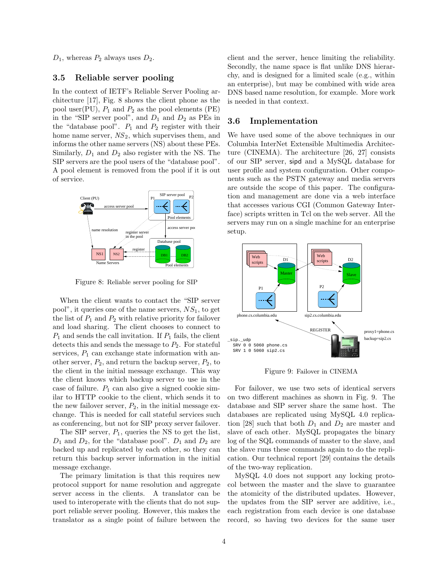$D_1$ , whereas  $P_2$  always uses  $D_2$ .

### **3.5 Reliable server pooling**

In the context of IETF's Reliable Server Pooling architecture [17], Fig. 8 shows the client phone as the pool user (PU),  $P_1$  and  $P_2$  as the pool elements (PE) in the "SIP server pool", and  $D_1$  and  $D_2$  as PEs in the "database pool".  $P_1$  and  $P_2$  register with their home name server,  $NS<sub>2</sub>$ , which supervises them, and informs the other name servers (NS) about these PEs. Similarly,  $D_1$  and  $D_2$  also register with the NS. The SIP servers are the pool users of the "database pool". A pool element is removed from the pool if it is out of service.



Figure 8: Reliable server pooling for SIP

When the client wants to contact the "SIP server pool", it queries one of the name servers,  $NS<sub>1</sub>$ , to get the list of  $P_1$  and  $P_2$  with relative priority for failover and load sharing. The client chooses to connect to  $P_1$  and sends the call invitation. If  $P_1$  fails, the client detects this and sends the message to  $P_2$ . For stateful services,  $P_1$  can exchange state information with another server,  $P_2$ , and return the backup server,  $P_2$ , to the client in the initial message exchange. This way the client knows which backup server to use in the case of failure.  $P_1$  can also give a signed cookie similar to HTTP cookie to the client, which sends it to the new failover server,  $P_2$ , in the initial message exchange. This is needed for call stateful services such as conferencing, but not for SIP proxy server failover.

The SIP server,  $P_1$ , queries the NS to get the list,  $D_1$  and  $D_2$ , for the "database pool".  $D_1$  and  $D_2$  are backed up and replicated by each other, so they can return this backup server information in the initial message exchange.

The primary limitation is that this requires new protocol support for name resolution and aggregate server access in the clients. A translator can be used to interoperate with the clients that do not support reliable server pooling. However, this makes the translator as a single point of failure between the

client and the server, hence limiting the reliability. Secondly, the name space is flat unlike DNS hierarchy, and is designed for a limited scale (e.g., within an enterprise), but may be combined with wide area DNS based name resolution, for example. More work is needed in that context.

## **3.6 Implementation**

We have used some of the above techniques in our Columbia InterNet Extensible Multimedia Architecture (CINEMA). The architecture [26, 27] consists of our SIP server, sipd and a MySQL database for user profile and system configuration. Other components such as the PSTN gateway and media servers are outside the scope of this paper. The configuration and management are done via a web interface that accesses various CGI (Common Gateway Interface) scripts written in Tcl on the web server. All the servers may run on a single machine for an enterprise setup.



Figure 9: Failover in CINEMA

For failover, we use two sets of identical servers on two different machines as shown in Fig. 9. The database and SIP server share the same host. The databases are replicated using MySQL 4.0 replication [28] such that both  $D_1$  and  $D_2$  are master and slave of each other. MySQL propagates the binary log of the SQL commands of master to the slave, and the slave runs these commands again to do the replication. Our technical report [29] contains the details of the two-way replication.

MySQL 4.0 does not support any locking protocol between the master and the slave to guarantee the atomicity of the distributed updates. However, the updates from the SIP server are additive, i.e., each registration from each device is one database record, so having two devices for the same user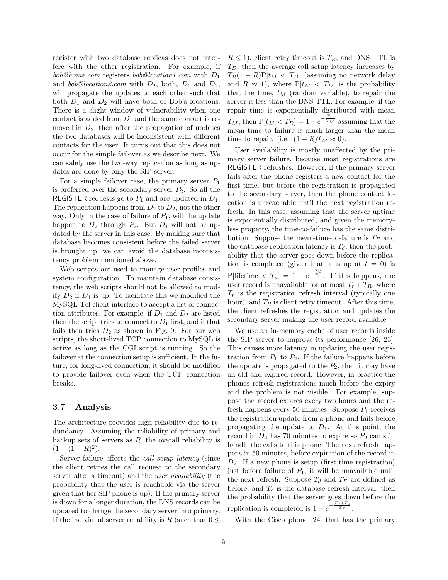register with two database replicas does not interfere with the other registration. For example, if *bob@home.com* registers *bob@location1.com* with D<sup>1</sup> and *bob@location2.com* with  $D_2$ , both,  $D_1$  and  $D_2$ , will propagate the updates to each other such that both  $D_1$  and  $D_2$  will have both of Bob's locations. There is a slight window of vulnerability when one contact is added from  $D_1$  and the same contact is removed in  $D_2$ , then after the propagation of updates the two databases will be inconsistent with different contacts for the user. It turns out that this does not occur for the simple failover as we describe next. We can safely use the two-way replication as long as updates are done by only the SIP server.

For a simple failover case, the primary server  $P_1$ is preferred over the secondary server  $P_2$ . So all the REGISTER requests go to  $P_1$  and are updated in  $D_1$ . The replication happens from  $D_1$  to  $D_2$ , not the other way. Only in the case of failure of  $P_1$ , will the update happen to  $D_2$  through  $P_2$ . But  $D_1$  will not be updated by the server in this case. By making sure that database becomes consistent before the failed server is brought up, we can avoid the database inconsistency problem mentioned above.

Web scripts are used to manage user profiles and system configuration. To maintain database consistency, the web scripts should not be allowed to modify  $D_2$  if  $D_1$  is up. To facilitate this we modified the MySQL-Tcl client interface to accept a list of connection attributes. For example, if  $D_1$  and  $D_2$  are listed then the script tries to connect to  $D_1$  first, and if that fails then tries  $D_2$  as shown in Fig. 9. For our web scripts, the short-lived TCP connection to MySQL is active as long as the CGI script is running. So the failover at the connection setup is sufficient. In the future, for long-lived connection, it should be modified to provide failover even when the TCP connection breaks.

### **3.7 Analysis**

The architecture provides high reliability due to redundancy. Assuming the reliability of primary and backup sets of servers as  $R$ , the overall reliability is  $(1-(1-R)^2)$ .

Server failure affects the *call setup latency* (since the client retries the call request to the secondary server after a timeout) and the *user availability* (the probability that the user is reachable via the server given that her SIP phone is up). If the primary server is down for a longer duration, the DNS records can be updated to change the secondary server into primary. If the individual server reliability is R (such that  $0 \leq$ 

 $R \leq 1$ , client retry timeout is  $T_R$ , and DNS TTL is  $T_D$ , then the average call setup latency increases by  $T_R(1 - R)P[t_M < T_D]$  (assuming no network delay and  $R \approx 1$ , where  $P[t_M < T_D]$  is the probability that the time,  $t_M$  (random variable), to repair the server is less than the DNS TTL. For example, if the repair time is exponentially distributed with mean  $T_M$ , then  $P[t_M < T_D] = 1 - e^{-\frac{T_D}{T_M}}$  assuming that the mean time to failure is much larger than the mean time to repair. (i.e.,  $(1 - R)T_M \approx 0$ ).

User availability is mostly unaffected by the primary server failure, because most registrations are REGISTER refreshes. However, if the primary server fails after the phone registers a new contact for the first time, but before the registration is propagated to the secondary server, then the phone contact location is unreachable until the next registration refresh. In this case, assuming that the server uptime is exponentially distributed, and given the memoryless property, the time-to-failure has the same distribution. Suppose the mean-time-to-failure is  $T_F$  and the database replication latency is  $T_d$ , then the probability that the server goes down before the replication is completed (given that it is up at  $t = 0$ ) is P[lifetime  $\langle T_d \rbrack = 1 - e^{-\frac{T_d}{T_F}}$ . If this happens, the user record is unavailable for at most  $T_r + T_R$ , where  $T_r$  is the registration refresh interval (typically one hour), and  $T_R$  is client retry timeout. After this time, the client refreshes the registration and updates the secondary server making the user record available.

We use an in-memory cache of user records inside the SIP server to improve its performance [26, 23]. This causes more latency in updating the user registration from  $P_1$  to  $P_2$ . If the failure happens before the update is propagated to the  $P_2$ , then it may have an old and expired record. However, in practice the phones refresh registrations much before the expiry and the problem is not visible. For example, suppose the record expires every two hours and the refresh happens every 50 minutes. Suppose  $P_1$  receives the registration update from a phone and fails before propagating the update to  $D_1$ . At this point, the record in  $D_2$  has 70 minutes to expire so  $P_2$  can still handle the calls to this phone. The next refresh happens in 50 minutes, before expiration of the record in  $D_2$ . If a new phone is setup (first time registration) just before failure of  $P_1$ , it will be unavailable until the next refresh. Suppose  $T_d$  and  $T_F$  are defined as before, and  $T_c$  is the database refresh interval, then the probability that the server goes down before the replication is completed is  $1 - e^{-\frac{T_d + T_c}{T_F}}$ .

With the Cisco phone [24] that has the primary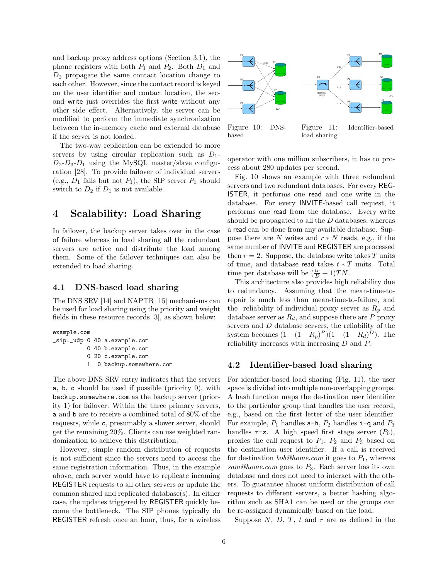and backup proxy address options (Section 3.1), the phone registers with both  $P_1$  and  $P_2$ . Both  $D_1$  and  $D_2$  propagate the same contact location change to each other. However, since the contact record is keyed on the user identifier and contact location, the second write just overrides the first write without any other side effect. Alternatively, the server can be modified to perform the immediate synchronization between the in-memory cache and external database if the server is not loaded.

The two-way replication can be extended to more servers by using circular replication such as  $D_1$ - $D_2$ - $D_3$ - $D_1$  using the MySQL master/slave configuration [28]. To provide failover of individual servers (e.g.,  $D_1$  fails but not  $P_1$ ), the SIP server  $P_1$  should switch to  $D_2$  if  $D_1$  is not available.

# **4 Scalability: Load Sharing**

In failover, the backup server takes over in the case of failure whereas in load sharing all the redundant servers are active and distribute the load among them. Some of the failover techniques can also be extended to load sharing.

### **4.1 DNS-based load sharing**

The DNS SRV [14] and NAPTR [15] mechanisms can be used for load sharing using the priority and weight fields in these resource records [3], as shown below:

```
example.com
_sip._udp 0 40 a.example.com
          0 40 b.example.com
          0 20 c.example.com
          1 0 backup.somewhere.com
```
The above DNS SRV entry indicates that the servers a, b, c should be used if possible (priority 0), with backup.somewhere.com as the backup server (priority 1) for failover. Within the three primary servers, a and b are to receive a combined total of 80% of the requests, while c, presumably a slower server, should get the remaining 20%. Clients can use weighted randomization to achieve this distribution.

However, simple random distribution of requests is not sufficient since the servers need to access the same registration information. Thus, in the example above, each server would have to replicate incoming REGISTER requests to all other servers or update the common shared and replicated database(s). In either case, the updates triggered by REGISTER quickly become the bottleneck. The SIP phones typically do REGISTER refresh once an hour, thus, for a wireless



Figure 10: DNSbased Figure 11: Identifier-based load sharing

operator with one million subscribers, it has to process about 280 updates per second.

Fig. 10 shows an example with three redundant servers and two redundant databases. For every REG-ISTER, it performs one read and one write in the database. For every INVITE-based call request, it performs one read from the database. Every write should be propagated to all the  $D$  databases, whereas a read can be done from any available database. Suppose there are N writes and  $r * N$  reads, e.g., if the same number of INVITE and REGISTER are processed then  $r = 2$ . Suppose, the database write takes T units of time, and database read takes  $t * T$  units. Total time per database will be  $(\frac{tr}{D} + 1)TN$ .

This architecture also provides high reliability due to redundancy. Assuming that the mean-time-torepair is much less than mean-time-to-failure, and the reliability of individual proxy server as  $R_p$  and database server as  $R_d$ , and suppose there are P proxy servers and  $D$  database servers, the reliability of the system becomes  $(1 - (1 - R_p)^P)(1 - (1 - R_d)^D)$ . The reliability increases with increasing  $D$  and  $P$ .

#### **4.2 Identifier-based load sharing**

For identifier-based load sharing (Fig. 11), the user space is divided into multiple non-overlapping groups. A hash function maps the destination user identifier to the particular group that handles the user record, e.g., based on the first letter of the user identifier. For example,  $P_1$  handles  $a-h$ ,  $P_2$  handles  $i-q$  and  $P_3$ handles  $r-z$ . A high speed first stage server  $(P_0)$ , proxies the call request to  $P_1$ ,  $P_2$  and  $P_3$  based on the destination user identifier. If a call is received for destination  $bob@home.com$  it goes to  $P_1$ , whereas *sam@home.com* goes to P3. Each server has its own database and does not need to interact with the others. To guarantee almost uniform distribution of call requests to different servers, a better hashing algorithm such as SHA1 can be used or the groups can be re-assigned dynamically based on the load.

Suppose  $N$ ,  $D$ ,  $T$ ,  $t$  and  $r$  are as defined in the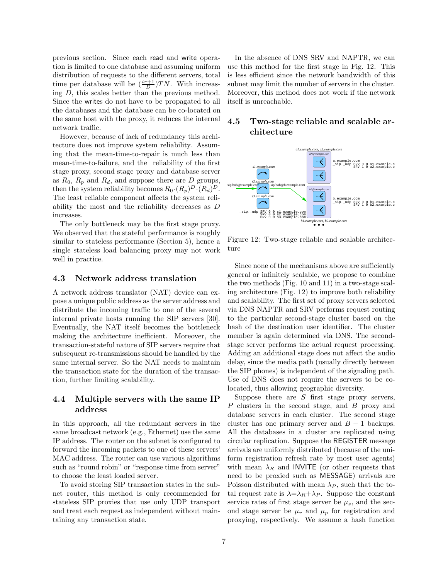previous section. Since each read and write operation is limited to one database and assuming uniform distribution of requests to the different servers, total time per database will be  $\left(\frac{tr+1}{D}\right)TN$ . With increasing  $D$ , this scales better than the previous method. Since the writes do not have to be propagated to all the databases and the database can be co-located on the same host with the proxy, it reduces the internal network traffic.

However, because of lack of redundancy this architecture does not improve system reliability. Assuming that the mean-time-to-repair is much less than mean-time-to-failure, and the reliability of the first stage proxy, second stage proxy and database server as  $R_0$ ,  $R_p$  and  $R_d$ , and suppose there are D groups, then the system reliability becomes  $R_0 \cdot (R_p)^D \cdot (R_d)^D$ . The least reliable component affects the system reliability the most and the reliability decreases as D increases.

The only bottleneck may be the first stage proxy. We observed that the stateful performance is roughly similar to stateless performance (Section 5), hence a single stateless load balancing proxy may not work well in practice.

#### **4.3 Network address translation**

A network address translator (NAT) device can expose a unique public address as the server address and distribute the incoming traffic to one of the several internal private hosts running the SIP servers [30]. Eventually, the NAT itself becomes the bottleneck making the architecture inefficient. Moreover, the transaction-stateful nature of SIP servers require that subsequent re-transmissions should be handled by the same internal server. So the NAT needs to maintain the transaction state for the duration of the transaction, further limiting scalability.

## **4.4 Multiple servers with the same IP address**

In this approach, all the redundant servers in the same broadcast network (e.g., Ethernet) use the same IP address. The router on the subnet is configured to forward the incoming packets to one of these servers' MAC address. The router can use various algorithms such as "round robin" or "response time from server" to choose the least loaded server.

To avoid storing SIP transaction states in the subnet router, this method is only recommended for stateless SIP proxies that use only UDP transport and treat each request as independent without maintaining any transaction state.

In the absence of DNS SRV and NAPTR, we can use this method for the first stage in Fig. 12. This is less efficient since the network bandwidth of this subnet may limit the number of servers in the cluster. Moreover, this method does not work if the network itself is unreachable.

## **4.5 Two-stage reliable and scalable architecture**



Figure 12: Two-stage reliable and scalable architecture

Since none of the mechanisms above are sufficiently general or infinitely scalable, we propose to combine the two methods (Fig. 10 and 11) in a two-stage scaling architecture (Fig. 12) to improve both reliability and scalability. The first set of proxy servers selected via DNS NAPTR and SRV performs request routing to the particular second-stage cluster based on the hash of the destination user identifier. The cluster member is again determined via DNS. The secondstage server performs the actual request processing. Adding an additional stage does not affect the audio delay, since the media path (usually directly between the SIP phones) is independent of the signaling path. Use of DNS does not require the servers to be colocated, thus allowing geographic diversity.

Suppose there are  $S$  first stage proxy servers, P clusters in the second stage, and B proxy and database servers in each cluster. The second stage cluster has one primary server and  $B-1$  backups. All the databases in a cluster are replicated using circular replication. Suppose the REGISTER message arrivals are uniformly distributed (because of the uniform registration refresh rate by most user agents) with mean  $\lambda_R$  and INVITE (or other requests that need to be proxied such as MESSAGE) arrivals are Poisson distributed with mean  $\lambda_P$ , such that the total request rate is  $\lambda = \lambda_R + \lambda_P$ . Suppose the constant service rates of first stage server be  $\mu_s$ , and the second stage server be  $\mu_r$  and  $\mu_p$  for registration and proxying, respectively. We assume a hash function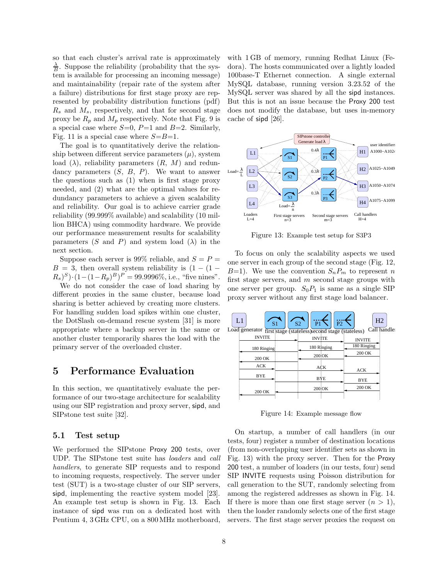so that each cluster's arrival rate is approximately  $\frac{\lambda}{B}$ . Suppose the reliability (probability that the system is available for processing an incoming message) and maintainability (repair rate of the system after a failure) distributions for first stage proxy are represented by probability distribution functions (pdf)  $R_s$  and  $M_s$ , respectively, and that for second stage proxy be  $R_p$  and  $M_p$  respectively. Note that Fig. 9 is a special case where  $S=0$ ,  $P=1$  and  $B=2$ . Similarly, Fig. 11 is a special case where  $S = B = 1$ .

The goal is to quantitatively derive the relationship between different service parameters  $(\mu)$ , system load  $(\lambda)$ , reliability parameters  $(R, M)$  and redundancy parameters  $(S, B, P)$ . We want to answer the questions such as (1) when is first stage proxy needed, and (2) what are the optimal values for redundancy parameters to achieve a given scalability and reliability. Our goal is to achieve carrier grade reliability (99.999% available) and scalability (10 million BHCA) using commodity hardware. We provide our performance measurement results for scalability parameters  $(S \text{ and } P)$  and system load  $(\lambda)$  in the next section.

Suppose each server is 99% reliable, and  $S = P =$  $B = 3$ , then overall system reliability is  $(1 - (1 (R_s)^S \cdot (1-(1-R_p)^B)^P = 99.9996\%,$  i.e., "five nines".

We do not consider the case of load sharing by different proxies in the same cluster, because load sharing is better achieved by creating more clusters. For handling sudden load spikes within one cluster, the DotSlash on-demand rescue system [31] is more appropriate where a backup server in the same or another cluster temporarily shares the load with the primary server of the overloaded cluster.

## **5 Performance Evaluation**

In this section, we quantitatively evaluate the performance of our two-stage architecture for scalability using our SIP registration and proxy server, sipd, and SIPstone test suite [32].

### **5.1 Test setup**

We performed the SIPstone Proxy 200 tests, over UDP. The SIPstone test suite has *loaders* and *call handlers*, to generate SIP requests and to respond to incoming requests, respectively. The server under test (SUT) is a two-stage cluster of our SIP servers, sipd, implementing the reactive system model [23]. An example test setup is shown in Fig. 13. Each instance of sipd was run on a dedicated host with Pentium 4, 3 GHz CPU, on a 800 MHz motherboard,

with 1 GB of memory, running Redhat Linux (Fedora). The hosts communicated over a lightly loaded 100base-T Ethernet connection. A single external MySQL database, running version 3.23.52 of the MySQL server was shared by all the sipd instances. But this is not an issue because the Proxy 200 test does not modify the database, but uses in-memory cache of sipd [26].



Figure 13: Example test setup for S3P3

To focus on only the scalability aspects we used one server in each group of the second stage (Fig. 12,  $B=1$ ). We use the convention  $S_nP_m$  to represent n first stage servers, and  $m$  second stage groups with one server per group.  $S_0P_1$  is same as a single SIP proxy server without any first stage load balancer.

| H <sub>2</sub><br>Call handler |
|--------------------------------|
| <b>INVITE</b>                  |
| 180 Ringing<br>200 OK          |
|                                |
|                                |
| <b>BYE</b>                     |
| 200 OK                         |
|                                |

Figure 14: Example message flow

On startup, a number of call handlers (in our tests, four) register a number of destination locations (from non-overlapping user identifier sets as shown in Fig. 13) with the proxy server. Then for the Proxy 200 test, a number of loaders (in our tests, four) send SIP INVITE requests using Poisson distribution for call generation to the SUT, randomly selecting from among the registered addresses as shown in Fig. 14. If there is more than one first stage server  $(n > 1)$ , then the loader randomly selects one of the first stage servers. The first stage server proxies the request on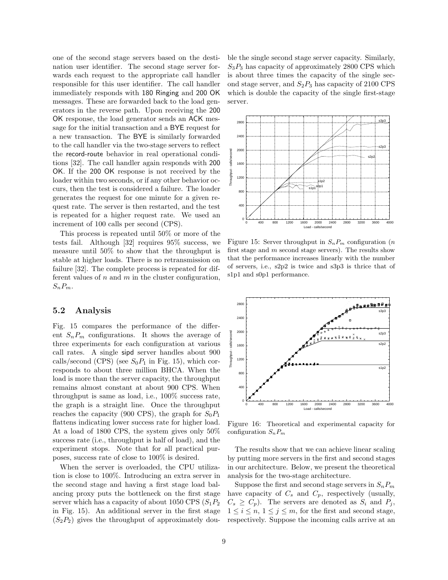one of the second stage servers based on the destination user identifier. The second stage server forwards each request to the appropriate call handler responsible for this user identifier. The call handler immediately responds with 180 Ringing and 200 OK messages. These are forwarded back to the load generators in the reverse path. Upon receiving the 200 OK response, the load generator sends an ACK message for the initial transaction and a BYE request for a new transaction. The BYE is similarly forwarded to the call handler via the two-stage servers to reflect the record-route behavior in real operational conditions [32]. The call handler again responds with 200 OK. If the 200 OK response is not received by the loader within two seconds, or if any other behavior occurs, then the test is considered a failure. The loader generates the request for one minute for a given request rate. The server is then restarted, and the test is repeated for a higher request rate. We used an increment of 100 calls per second (CPS).

This process is repeated until 50% or more of the tests fail. Although [32] requires 95% success, we measure until 50% to show that the throughput is stable at higher loads. There is no retransmission on failure [32]. The complete process is repeated for different values of  $n$  and  $m$  in the cluster configuration,  $S_n P_m$ .

#### **5.2 Analysis**

Fig. 15 compares the performance of the different  $S_n P_m$  configurations. It shows the average of three experiments for each configuration at various call rates. A single sipd server handles about 900 calls/second (CPS) (see  $S_0P_1$  in Fig. 15), which corresponds to about three million BHCA. When the load is more than the server capacity, the throughput remains almost constant at about 900 CPS. When throughput is same as load, i.e., 100% success rate, the graph is a straight line. Once the throughput reaches the capacity (900 CPS), the graph for  $S_0P_1$ flattens indicating lower success rate for higher load. At a load of 1800 CPS, the system gives only 50% success rate (i.e., throughput is half of load), and the experiment stops. Note that for all practical purposes, success rate of close to 100% is desired.

When the server is overloaded, the CPU utilization is close to 100%. Introducing an extra server in the second stage and having a first stage load balancing proxy puts the bottleneck on the first stage server which has a capacity of about 1050 CPS  $(S_1P_2)$ in Fig. 15). An additional server in the first stage  $(S_2P_2)$  gives the throughput of approximately double the single second stage server capacity. Similarly,  $S_3P_3$  has capacity of approximately 2800 CPS which is about three times the capacity of the single second stage server, and  $S_2P_3$  has capacity of 2100 CPS which is double the capacity of the single first-stage server.



Figure 15: Server throughput in  $S_nP_m$  configuration (*n* first stage and m second stage servers). The results show that the performance increases linearly with the number of servers, i.e., s2p2 is twice and s3p3 is thrice that of s1p1 and s0p1 performance.



Figure 16: Theoretical and experimental capacity for configuration  $S_nP_m$ 

The results show that we can achieve linear scaling by putting more servers in the first and second stages in our architecture. Below, we present the theoretical analysis for the two-stage architecture.

Suppose the first and second stage servers in  $S_nP_m$ have capacity of  $C_s$  and  $C_p$ , respectively (usually,  $C_s \geq C_p$ ). The servers are denoted as  $S_i$  and  $P_j$ ,  $1 \leq i \leq n, 1 \leq j \leq m$ , for the first and second stage, respectively. Suppose the incoming calls arrive at an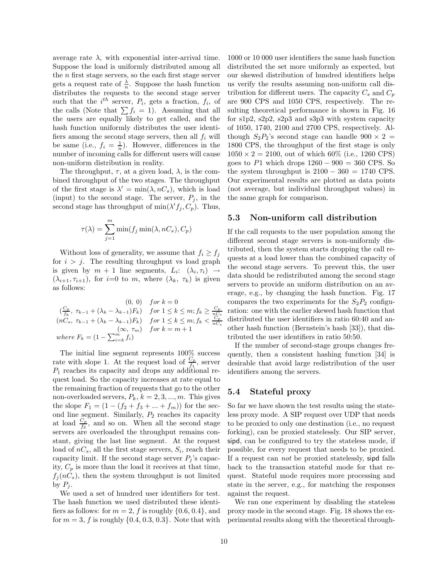average rate  $\lambda$ , with exponential inter-arrival time. Suppose the load is uniformly distributed among all the n first stage servers, so the each first stage server gets a request rate of  $\frac{\lambda}{n}$ . Suppose the hash function distributes the requests to the second stage server such that the  $i^{th}$  server,  $P_i$ , gets a fraction,  $f_i$ , of the calls (Note that  $\sum f_i = 1$ ). Assuming that all the users are equally likely to get called, and the hash function uniformly distributes the user identifiers among the second stage servers, then all  $f_i$  will be same (i.e.,  $f_i = \frac{1}{n}$ ). However, differences in the number of incoming calls for different users will cause non-uniform distribution in reality.

The throughput,  $\tau$ , at a given load,  $\lambda$ , is the combined throughput of the two stages. The throughput of the first stage is  $\lambda' = \min(\lambda, nC_s)$ , which is load (input) to the second stage. The server,  $P_i$ , in the second stage has throughput of  $\min(\lambda' f_i, C_p)$ . Thus,

$$
\tau(\lambda) = \sum_{j=1}^{m} \min(f_j \min(\lambda, nC_s), C_p)
$$

Without loss of generality, we assume that  $f_i \geq f_j$ for  $i > j$ . The resulting throughput vs load graph is given by  $m + 1$  line segments,  $L_i: (\lambda_i, \tau_i) \rightarrow$  $(\lambda_{i+1}, \tau_{i+1}),$  for  $i=0$  to m, where  $(\lambda_k, \tau_k)$  is given as follows:

 $(0, 0)$  for  $k = 0$  $\left(\frac{C_p}{f_k}, \tau_{k-1} + (\lambda_k - \lambda_{k-1})F_k\right)$  for  $1 \leq k \leq m; f_k \geq \frac{C_p}{nC_s}$ <br>  $\left(nC_s, \tau_{k-1} + (\lambda_k - \lambda_{k-1})F_k\right)$  for  $1 \leq k \leq m; f_k < \frac{C_p}{nC_s}$ <br>  $\left(\infty, \tau_m\right)$  for  $k = m + 1$ where  $F_k = (1 - \sum_{i=k}^m f_i)$ 

The initial line segment represents  $100\%$  success rate with slope 1. At the request load of  $\frac{C_p}{f_1}$ , server  $P_1$  reaches its capacity and drops any additional request load. So the capacity increases at rate equal to the remaining fraction of requests that go to the other non-overloaded servers,  $P_k$ ,  $k = 2, 3, ..., m$ . This gives the slope  $F_1 = (1 - (f_2 + f_3 + \dots + f_m))$  for the second line segment. Similarly,  $P_2$  reaches its capacity at load  $\frac{C_p}{f_2}$ , and so on. When all the second stage servers are overloaded the throughput remains constant, giving the last line segment. At the request load of  $nC_s$ , all the first stage servers,  $S_i$ , reach their capacity limit. If the second stage server  $P_j$ 's capacity,  $C_p$  is more than the load it receives at that time,  $f_j(nC_s)$ , then the system throughput is not limited by  $P_i$ .

We used a set of hundred user identifiers for test. The hash function we used distributed these identifiers as follows: for  $m = 2$ , f is roughly  $\{0.6, 0.4\}$ , and for  $m = 3$ , f is roughly  $\{0.4, 0.3, 0.3\}$ . Note that with

1000 or 10 000 user identifiers the same hash function distributed the set more uniformly as expected, but our skewed distribution of hundred identifiers helps us verify the results assuming non-uniform call distribution for different users. The capacity  $C_s$  and  $C_p$ are 900 CPS and 1050 CPS, respectively. The resulting theoretical performance is shown in Fig. 16 for s1p2, s2p2, s2p3 and s3p3 with system capacity of 1050, 1740, 2100 and 2700 CPS, respectively. Although  $S_2P_2$ 's second stage can handle  $900 \times 2 =$ 1800 CPS, the throughput of the first stage is only  $1050 \times 2 = 2100$ , out of which 60% (i.e., 1260 CPS) goes to P1 which drops  $1260 - 900 = 360$  CPS. So the system throughput is  $2100 - 360 = 1740$  CPS. Our experimental results are plotted as data points (not average, but individual throughput values) in the same graph for comparison.

#### **5.3 Non-uniform call distribution**

If the call requests to the user population among the different second stage servers is non-uniformly distributed, then the system starts dropping the call requests at a load lower than the combined capacity of the second stage servers. To prevent this, the user data should be redistributed among the second stage servers to provide an uniform distribution on an average, e.g., by changing the hash function. Fig. 17 compares the two experiments for the  $S_2P_2$  configuration: one with the earlier skewed hash function that distributed the user identifiers in ratio 60:40 and another hash function (Bernstein's hash [33]), that distributed the user identifiers in ratio 50:50.

If the number of second-stage groups changes frequently, then a consistent hashing function [34] is desirable that avoid large redistribution of the user identifiers among the servers.

## **5.4 Stateful proxy**

So far we have shown the test results using the stateless proxy mode. A SIP request over UDP that needs to be proxied to only one destination (i.e., no request forking), can be proxied statelessly. Our SIP server, sipd, can be configured to try the stateless mode, if possible, for every request that needs to be proxied. If a request can *not* be proxied statelessly, sipd falls back to the transaction stateful mode for that request. Stateful mode requires more processing and state in the server, e.g., for matching the responses against the request.

We ran one experiment by disabling the stateless proxy mode in the second stage. Fig. 18 shows the experimental results along with the theoretical through-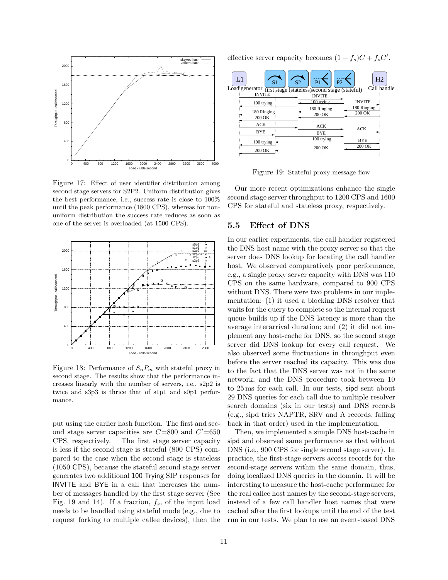

Figure 17: Effect of user identifier distribution among second stage servers for S2P2. Uniform distribution gives the best performance, i.e., success rate is close to 100% until the peak performance (1800 CPS), whereas for nonuniform distribution the success rate reduces as soon as one of the server is overloaded (at 1500 CPS).



Figure 18: Performance of  $S_nP_m$  with stateful proxy in second stage. The results show that the performance increases linearly with the number of servers, i.e., s2p2 is twice and s3p3 is thrice that of s1p1 and s0p1 performance.

put using the earlier hash function. The first and second stage server capacities are  $C=800$  and  $C'=650$ CPS, respectively. The first stage server capacity is less if the second stage is stateful (800 CPS) compared to the case when the second stage is stateless (1050 CPS), because the stateful second stage server generates two additional 100 Trying SIP responses for INVITE and BYE in a call that increases the number of messages handled by the first stage server (See Fig. 19 and 14). If a fraction,  $f_s$ , of the input load needs to be handled using stateful mode (e.g., due to request forking to multiple callee devices), then the effective server capacity becomes  $(1 - f_s)C + f_s C'$ .

| L1<br>Load generator first stage (stateless) second stage (stateful) | S <sub>1</sub> | S <sub>2</sub> | P <sub>1</sub>        | P <sub>2</sub> |                       | H <sub>2</sub><br>Call handler |
|----------------------------------------------------------------------|----------------|----------------|-----------------------|----------------|-----------------------|--------------------------------|
|                                                                      | <b>INVITE</b>  |                | <b>INVITE</b>         |                |                       |                                |
|                                                                      | 100 trying     |                | 100 trying            |                | <b>INVITE</b>         |                                |
|                                                                      | 180 Ringing    |                | 180 Ringing<br>200 OK |                | 180 Ringing<br>200 OK |                                |
|                                                                      | 200 OK         |                |                       |                |                       |                                |
|                                                                      | <b>ACK</b>     |                | ACK                   |                | <b>ACK</b>            |                                |
|                                                                      | <b>BYE</b>     |                | <b>BYE</b>            |                |                       |                                |
|                                                                      | 100 trying     |                | 100 trying            |                | <b>BYE</b>            |                                |
|                                                                      | 200 OK         |                | 200 OK                |                | 200 OK                |                                |
|                                                                      |                |                |                       |                |                       |                                |

Figure 19: Stateful proxy message flow

Our more recent optimizations enhance the single second stage server throughput to 1200 CPS and 1600 CPS for stateful and stateless proxy, respectively.

### **5.5 Effect of DNS**

In our earlier experiments, the call handler registered the DNS host name with the proxy server so that the server does DNS lookup for locating the call handler host. We observed comparatively poor performance, e.g., a single proxy server capacity with DNS was 110 CPS on the same hardware, compared to 900 CPS without DNS. There were two problems in our implementation: (1) it used a blocking DNS resolver that waits for the query to complete so the internal request queue builds up if the DNS latency is more than the average interarrival duration; and (2) it did not implement any host-cache for DNS, so the second stage server did DNS lookup for every call request. We also observed some fluctuations in throughput even before the server reached its capacity. This was due to the fact that the DNS server was not in the same network, and the DNS procedure took between 10 to 25 ms for each call. In our tests, sipd sent about 29 DNS queries for each call due to multiple resolver search domains (six in our tests) and DNS records (e.g., sipd tries NAPTR, SRV and A records, falling back in that order) used in the implementation.

Then, we implemented a simple DNS host-cache in sipd and observed same performance as that without DNS (i.e., 900 CPS for single second stage server). In practice, the first-stage servers access records for the second-stage servers within the same domain, thus, doing localized DNS queries in the domain. It will be interesting to measure the host-cache performance for the real callee host names by the second-stage servers, instead of a few call handler host names that were cached after the first lookups until the end of the test run in our tests. We plan to use an event-based DNS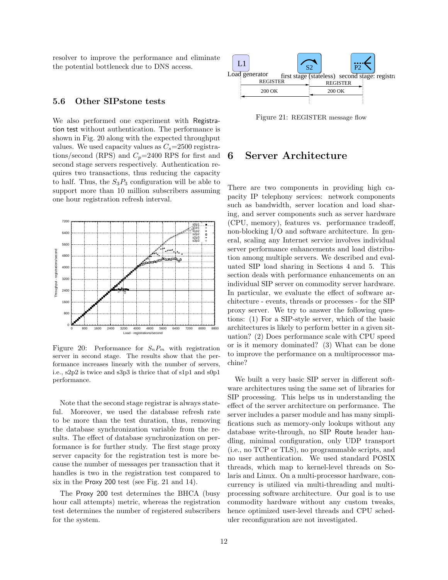resolver to improve the performance and eliminate the potential bottleneck due to DNS access.

## **5.6 Other SIPstone tests**

We also performed one experiment with Registration test without authentication. The performance is shown in Fig. 20 along with the expected throughput values. We used capacity values as  $C_s=2500$  registrations/second (RPS) and  $C_p=2400$  RPS for first and second stage servers respectively. Authentication requires two transactions, thus reducing the capacity to half. Thus, the  $S_3P_3$  configuration will be able to support more than 10 million subscribers assuming one hour registration refresh interval.



Figure 20: Performance for  $S_nP_m$  with registration server in second stage. The results show that the performance increases linearly with the number of servers, i.e., s2p2 is twice and s3p3 is thrice that of s1p1 and s0p1 performance.

Note that the second stage registrar is always stateful. Moreover, we used the database refresh rate to be more than the test duration, thus, removing the database synchronization variable from the results. The effect of database synchronization on performance is for further study. The first stage proxy server capacity for the registration test is more because the number of messages per transaction that it handles is two in the registration test compared to six in the Proxy 200 test (see Fig. 21 and 14).

The Proxy 200 test determines the BHCA (busy hour call attempts) metric, whereas the registration test determines the number of registered subscribers for the system.



Figure 21: REGISTER message flow

## **6 Server Architecture**

There are two components in providing high capacity IP telephony services: network components such as bandwidth, server location and load sharing, and server components such as server hardware (CPU, memory), features vs. performance tradeoff, non-blocking I/O and software architecture. In general, scaling any Internet service involves individual server performance enhancements and load distribution among multiple servers. We described and evaluated SIP load sharing in Sections 4 and 5. This section deals with performance enhancements on an individual SIP server on commodity server hardware. In particular, we evaluate the effect of software architecture - events, threads or processes - for the SIP proxy server. We try to answer the following questions: (1) For a SIP-style server, which of the basic architectures is likely to perform better in a given situation? (2) Does performance scale with CPU speed or is it memory dominated? (3) What can be done to improve the performance on a multiprocessor machine?

We built a very basic SIP server in different software architectures using the same set of libraries for SIP processing. This helps us in understanding the effect of the server architecture on performance. The server includes a parser module and has many simplifications such as memory-only lookups without any database write-through, no SIP Route header handling, minimal configuration, only UDP transport (i.e., no TCP or TLS), no programmable scripts, and no user authentication. We used standard POSIX threads, which map to kernel-level threads on Solaris and Linux. On a multi-processor hardware, concurrency is utilized via multi-threading and multiprocessing software architecture. Our goal is to use commodity hardware without any custom tweaks, hence optimized user-level threads and CPU scheduler reconfiguration are not investigated.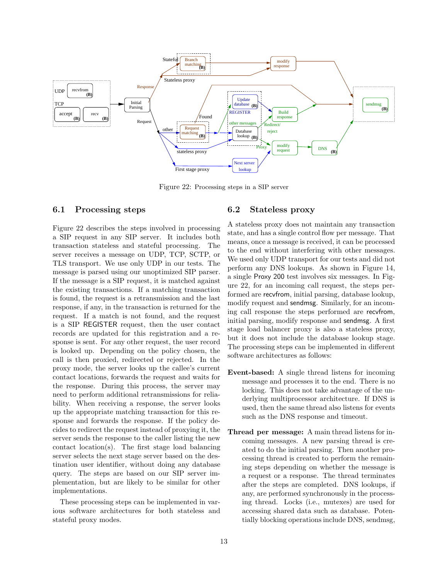

Figure 22: Processing steps in a SIP server

#### **6.1 Processing steps**

Figure 22 describes the steps involved in processing a SIP request in any SIP server. It includes both transaction stateless and stateful processing. The server receives a message on UDP, TCP, SCTP, or TLS transport. We use only UDP in our tests. The message is parsed using our unoptimized SIP parser. If the message is a SIP request, it is matched against the existing transactions. If a matching transaction is found, the request is a retransmission and the last response, if any, in the transaction is returned for the request. If a match is not found, and the request is a SIP REGISTER request, then the user contact records are updated for this registration and a response is sent. For any other request, the user record is looked up. Depending on the policy chosen, the call is then proxied, redirected or rejected. In the proxy mode, the server looks up the callee's current contact locations, forwards the request and waits for the response. During this process, the server may need to perform additional retransmissions for reliability. When receiving a response, the server looks up the appropriate matching transaction for this response and forwards the response. If the policy decides to redirect the request instead of proxying it, the server sends the response to the caller listing the new contact location(s). The first stage load balancing server selects the next stage server based on the destination user identifier, without doing any database query. The steps are based on our SIP server implementation, but are likely to be similar for other implementations.

These processing steps can be implemented in various software architectures for both stateless and stateful proxy modes.

## **6.2 Stateless proxy**

A stateless proxy does not maintain any transaction state, and has a single control flow per message. That means, once a message is received, it can be processed to the end without interfering with other messages. We used only UDP transport for our tests and did not perform any DNS lookups. As shown in Figure 14, a single Proxy 200 test involves six messages. In Figure 22, for an incoming call request, the steps performed are recvfrom, initial parsing, database lookup, modify request and sendmsg. Similarly, for an incoming call response the steps performed are recvfrom, initial parsing, modify response and sendmsg. A first stage load balancer proxy is also a stateless proxy, but it does not include the database lookup stage. The processing steps can be implemented in different software architectures as follows:

- **Event-based:** A single thread listens for incoming message and processes it to the end. There is no locking. This does not take advantage of the underlying multiprocessor architecture. If DNS is used, then the same thread also listens for events such as the DNS response and timeout.
- **Thread per message:** A main thread listens for incoming messages. A new parsing thread is created to do the initial parsing. Then another processing thread is created to perform the remaining steps depending on whether the message is a request or a response. The thread terminates after the steps are completed. DNS lookups, if any, are performed synchronously in the processing thread. Locks (i.e., mutexes) are used for accessing shared data such as database. Potentially blocking operations include DNS, sendmsg,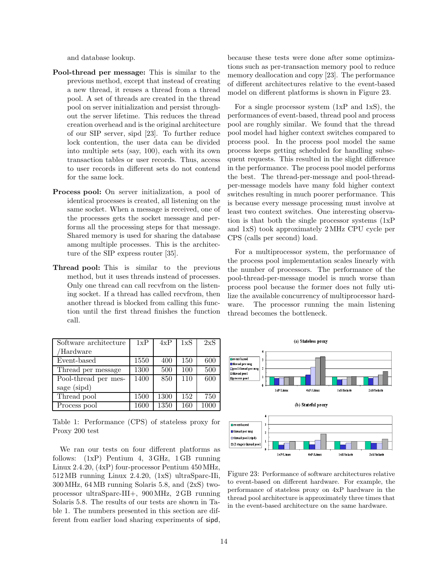and database lookup.

- **Pool-thread per message:** This is similar to the previous method, except that instead of creating a new thread, it reuses a thread from a thread pool. A set of threads are created in the thread pool on server initialization and persist throughout the server lifetime. This reduces the thread creation overhead and is the original architecture of our SIP server, sipd [23]. To further reduce lock contention, the user data can be divided into multiple sets (say, 100), each with its own transaction tables or user records. Thus, access to user records in different sets do not contend for the same lock.
- **Process pool:** On server initialization, a pool of identical processes is created, all listening on the same socket. When a message is received, one of the processes gets the socket message and performs all the processing steps for that message. Shared memory is used for sharing the database among multiple processes. This is the architecture of the SIP express router [35].
- **Thread pool:** This is similar to the previous method, but it uses threads instead of processes. Only one thread can call recvfrom on the listening socket. If a thread has called recvfrom, then another thread is blocked from calling this function until the first thread finishes the function call.

| Software architecture | 1xP  | 4xP  | 1xS | 2xS  |
|-----------------------|------|------|-----|------|
| /Hardware             |      |      |     |      |
| Event-based           | 1550 | 400  | 150 | 600  |
| Thread per message    | 1300 | 500  | 100 | 500  |
| Pool-thread per mes-  | 1400 | 850  | 110 | 600  |
| sage (sipd)           |      |      |     |      |
| Thread pool           | 1500 | 1300 | 152 | 750  |
| Process pool          | 1600 | 1350 | 160 | 1000 |

Table 1: Performance (CPS) of stateless proxy for Proxy 200 test

We ran our tests on four different platforms as follows: (1xP) Pentium 4, 3 GHz, 1 GB running Linux 2.4.20, (4xP) four-processor Pentium 450MHz, 512MB running Linux 2.4.20, (1xS) ultraSparc-IIi, 300MHz, 64 MB running Solaris 5.8, and (2xS) twoprocessor ultraSparc-III+, 900MHz, 2 GB running Solaris 5.8. The results of our tests are shown in Table 1. The numbers presented in this section are different from earlier load sharing experiments of sipd,

because these tests were done after some optimizations such as per-transaction memory pool to reduce memory deallocation and copy [23]. The performance of different architectures relative to the event-based model on different platforms is shown in Figure 23.

For a single processor system (1xP and 1xS), the performances of event-based, thread pool and process pool are roughly similar. We found that the thread pool model had higher context switches compared to process pool. In the process pool model the same process keeps getting scheduled for handling subsequent requests. This resulted in the slight difference in the performance. The process pool model performs the best. The thread-per-message and pool-threadper-message models have many fold higher context switches resulting in much poorer performance. This is because every message processing must involve at least two context switches. One interesting observation is that both the single processor systems (1xP and 1xS) took approximately 2 MHz CPU cycle per CPS (calls per second) load.

For a multiprocessor system, the performance of the process pool implementation scales linearly with the number of processors. The performance of the pool-thread-per-message model is much worse than process pool because the former does not fully utilize the available concurrency of multiprocessor hardware. The processor running the main listening thread becomes the bottleneck.



Figure 23: Performance of software architectures relative to event-based on different hardware. For example, the performance of stateless proxy on 4xP hardware in the thread pool architecture is approximately three times that in the event-based architecture on the same hardware.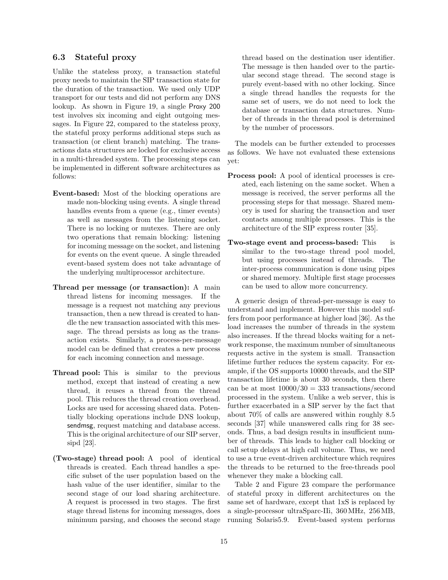### **6.3 Stateful proxy**

Unlike the stateless proxy, a transaction stateful proxy needs to maintain the SIP transaction state for the duration of the transaction. We used only UDP transport for our tests and did not perform any DNS lookup. As shown in Figure 19, a single Proxy 200 test involves six incoming and eight outgoing messages. In Figure 22, compared to the stateless proxy, the stateful proxy performs additional steps such as transaction (or client branch) matching. The transactions data structures are locked for exclusive access in a multi-threaded system. The processing steps can be implemented in different software architectures as follows:

- **Event-based:** Most of the blocking operations are made non-blocking using events. A single thread handles events from a queue (e.g., timer events) as well as messages from the listening socket. There is no locking or mutexes. There are only two operations that remain blocking: listening for incoming message on the socket, and listening for events on the event queue. A single threaded event-based system does not take advantage of the underlying multiprocessor architecture.
- **Thread per message (or transaction):** A main thread listens for incoming messages. If the message is a request not matching any previous transaction, then a new thread is created to handle the new transaction associated with this message. The thread persists as long as the transaction exists. Similarly, a process-per-message model can be defined that creates a new process for each incoming connection and message.
- **Thread pool:** This is similar to the previous method, except that instead of creating a new thread, it reuses a thread from the thread pool. This reduces the thread creation overhead. Locks are used for accessing shared data. Potentially blocking operations include DNS lookup, sendmsg, request matching and database access. This is the original architecture of our SIP server, sipd [23].
- **(Two-stage) thread pool:** A pool of identical threads is created. Each thread handles a specific subset of the user population based on the hash value of the user identifier, similar to the second stage of our load sharing architecture. A request is processed in two stages. The first stage thread listens for incoming messages, does minimum parsing, and chooses the second stage

thread based on the destination user identifier. The message is then handed over to the particular second stage thread. The second stage is purely event-based with no other locking. Since a single thread handles the requests for the same set of users, we do not need to lock the database or transaction data structures. Number of threads in the thread pool is determined by the number of processors.

The models can be further extended to processes as follows. We have not evaluated these extensions yet:

- **Process pool:** A pool of identical processes is created, each listening on the same socket. When a message is received, the server performs all the processing steps for that message. Shared memory is used for sharing the transaction and user contacts among multiple processes. This is the architecture of the SIP express router [35].
- **Two-stage event and process-based:** This is similar to the two-stage thread pool model, but using processes instead of threads. The inter-process communication is done using pipes or shared memory. Multiple first stage processes can be used to allow more concurrency.

A generic design of thread-per-message is easy to understand and implement. However this model suffers from poor performance at higher load [36]. As the load increases the number of threads in the system also increases. If the thread blocks waiting for a network response, the maximum number of simultaneous requests active in the system is small. Transaction lifetime further reduces the system capacity. For example, if the OS supports 10000 threads, and the SIP transaction lifetime is about 30 seconds, then there can be at most  $10000/30 = 333$  transactions/second processed in the system. Unlike a web server, this is further exacerbated in a SIP server by the fact that about 70% of calls are answered within roughly 8.5 seconds [37] while unanswered calls ring for 38 seconds. Thus, a bad design results in insufficient number of threads. This leads to higher call blocking or call setup delays at high call volume. Thus, we need to use a true event-driven architecture which requires the threads to be returned to the free-threads pool whenever they make a blocking call.

Table 2 and Figure 23 compare the performance of stateful proxy in different architectures on the same set of hardware, except that 1xS is replaced by a single-processor ultraSparc-IIi, 360MHz, 256MB, running Solaris5.9. Event-based system performs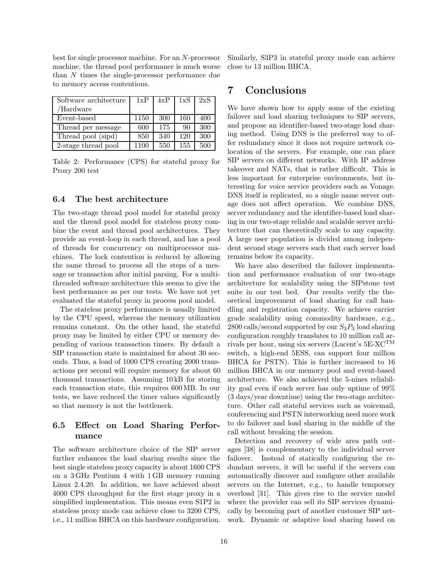best for single processor machine. For an N-processor machine, the thread pool performance is much worse than N times the single-processor performance due to memory access contentions.

| Software architecture<br>/Hardware | 1xP  | 4xP | 1xS | 2xS |
|------------------------------------|------|-----|-----|-----|
| Event-based                        | 1150 | 300 | 160 | 400 |
| Thread per message                 | 600  | 175 | 90  | 300 |
| Thread pool (sipd)                 | 850  | 340 | 120 | 300 |
| 2-stage thread pool                | 1100 | 550 | 155 | 500 |

Table 2: Performance (CPS) for stateful proxy for Proxy 200 test

### **6.4 The best architecture**

The two-stage thread pool model for stateful proxy and the thread pool model for stateless proxy combine the event and thread pool architectures. They provide an event-loop in each thread, and has a pool of threads for concurrency on multiprocessor machines. The lock contention is reduced by allowing the same thread to process all the steps of a message or transaction after initial parsing. For a multithreaded software architecture this seems to give the best performance as per our tests. We have not yet evaluated the stateful proxy in process pool model.

The stateless proxy performance is usually limited by the CPU speed, whereas the memory utilization remains constant. On the other hand, the stateful proxy may be limited by either CPU or memory depending of various transaction timers. By default a SIP transaction state is maintained for about 30 seconds. Thus, a load of 1000 CPS creating 2000 transactions per second will require memory for about 60 thousand transactions. Assuming 10 kB for storing each transaction state, this requires 600MB. In our tests, we have reduced the timer values significantly so that memory is not the bottleneck.

## **6.5 Effect on Load Sharing Performance**

The software architecture choice of the SIP server further enhances the load sharing results since the best single stateless proxy capacity is about 1600 CPS on a 3 GHz Pentium 4 with 1 GB memory running Linux 2.4.20. In addition, we have achieved about 4000 CPS throughput for the first stage proxy in a simplified implementation. This means even S1P2 in stateless proxy mode can achieve close to 3200 CPS, i.e., 11 million BHCA on this hardware configuration.

Similarly, S3P3 in stateful proxy mode can achieve close to 13 million BHCA.

## **7 Conclusions**

We have shown how to apply some of the existing failover and load sharing techniques to SIP servers, and propose an identifier-based two-stage load sharing method. Using DNS is the preferred way to offer redundancy since it does not require network colocation of the servers. For example, one can place SIP servers on different networks. With IP address takeover and NATs, that is rather difficult. This is less important for enterprise environments, but interesting for voice service providers such as Vonage. DNS itself is replicated, so a single name server outage does not affect operation. We combine DNS, server redundancy and the identifier-based load sharing in our two-stage reliable and scalable server architecture that can theoretically scale to any capacity. A large user population is divided among independent second stage servers such that each server load remains below its capacity.

We have also described the failover implementation and performance evaluation of our two-stage architecture for scalability using the SIPstone test suite in our test bed. Our results verify the theoretical improvement of load sharing for call handling and registration capacity. We achieve carrier grade scalability using commodity hardware, e.g.,  $2800$  calls/second supported by our  $S_3P_3$  load sharing configuration roughly translates to 10 million call arrivals per hour, using six servers (Lucent's 5E-XCTM switch, a high-end 5ESS, can support four million BHCA for PSTN). This is further increased to 16 million BHCA in our memory pool and event-based architecture. We also achieved the 5-nines reliability goal even if each server has only uptime of 99% (3 days/year downtime) using the two-stage architecture. Other call stateful services such as voicemail, conferencing and PSTN interworking need more work to do failover and load sharing in the middle of the call without breaking the session.

Detection and recovery of wide area path outages [38] is complementary to the individual server failover. Instead of statically configuring the redundant servers, it will be useful if the servers can automatically discover and configure other available servers on the Internet, e.g., to handle temporary overload [31]. This gives rise to the service model where the provider can sell its SIP services dynamically by becoming part of another customer SIP network. Dynamic or adaptive load sharing based on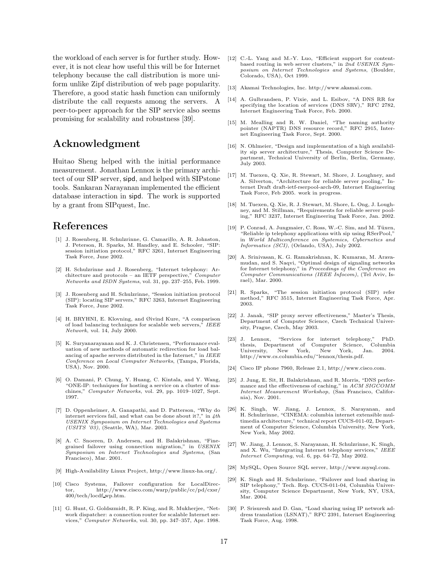the workload of each server is for further study. However, it is not clear how useful this will be for Internet telephony because the call distribution is more uniform unlike Zipf distribution of web page popularity. Therefore, a good static hash function can uniformly distribute the call requests among the servers. A peer-to-peer approach for the SIP service also seems promising for scalability and robustness [39].

# **Acknowledgment**

Huitao Sheng helped with the initial performance measurement. Jonathan Lennox is the primary architect of our SIP server, sipd, and helped with SIPstone tools. Sankaran Narayanan implemented the efficient database interaction in sipd. The work is supported by a grant from SIPquest, Inc.

## **References**

- [1] J. Rosenberg, H. Schulzrinne, G. Camarillo, A. R. Johnston, J. Peterson, R. Sparks, M. Handley, and E. Schooler, "SIP: session initiation protocol," RFC 3261, Internet Engineering Task Force, June 2002.
- [2] H. Schulzrinne and J. Rosenberg, "Internet telephony: Architecture and protocols – an IETF perspective," Computer Networks and ISDN Systems, vol. 31, pp. 237–255, Feb. 1999.
- [3] J. Rosenberg and H. Schulzrinne, "Session initiation protocol (SIP): locating SIP servers," RFC 3263, Internet Engineering Task Force, June 2002.
- [4] H. BRYHNI, E. Klovning, and Øivind Kure, "A comparison of load balancing techniques for scalable web servers," IEEE Network, vol. 14, July 2000.
- [5] K. Suryanarayanan and K. J. Christensen, "Performance evaluation of new methods of automatic redirection for load balancing of apache servers distributed in the Internet," in IEEE Conference on Local Computer Networks, (Tampa, Florida, USA), Nov. 2000.
- [6] O. Damani, P. Chung, Y. Huang, C. Kintala, and Y. Wang, "ONE-IP: techniques for hosting a service on a cluster of machines," Computer Networks, vol. 29, pp. 1019-1027, Sept. 1997.
- [7] D. Oppenheimer, A. Ganapathi, and D. Patterson, "Why do internet services fail, and what can be done about it?," in  $4th$ USENIX Symposium on Internet Technologies and Systems (USITS '03), (Seattle, WA), Mar. 2003.
- [8] A. C. Snoeren, D. Andersen, and H. Balakrishnan, "Finegrained failover using connection migration," in  $\overline{USENIX}$ Symposium on Internet Technologies and Systems, (San Francisco), Mar. 2001.
- [9] High-Availability Linux Project, http://www.linux-ha.org/.
- [10] Cisco Systems, Failover configuration for LocalDirector, http://www.cisco.com/warp/public/cc/pd/cxsr/  $400/\mathrm{tech}/\mathrm{localf}$  wp.htm.
- [11] G. Hunt, G. Goldszmidt, R. P. King, and R. Mukherjee, "Network dispatcher: a connection router for scalable Internet services,"  $\ddot{Computer}$  Networks, vol. 30, pp. 347–357, Apr. 1998.
- [12] C.-L. Yang and M.-Y. Luo, "Efficient support for contentbased routing in web server clusters," in 2nd USENIX Symposium on Internet Technologies and Systems, (Boulder, Colorado, USA), Oct 1999.
- [13] Akamai Technologies, Inc. http://www.akamai.com.
- [14] A. Gulbrandsen, P. Vixie, and L. Esibov, "A DNS RR for specifying the location of services (DNS SRV)," RFC 2782, Internet Engineering Task Force, Feb. 2000.
- [15] M. Mealling and R. W. Daniel, "The naming authority pointer (NAPTR) DNS resource record," RFC 2915, Internet Engineering Task Force, Sept. 2000.
- [16] N. Ohlmeier, "Design and implementation of a high availability sip server architecture," Thesis, Computer Science Department, Technical University of Berlin, Berlin, Germany, July 2003.
- [17] M. Tuexen, Q. Xie, R. Stewart, M. Shore, J. Loughney, and A. Silverton, "Architecture for reliable server pooling," Internet Draft draft-ietf-rserpool-arch-09, Internet Engineering Task Force, Feb 2005. work in progress.
- [18] M. Tuexen, Q. Xie, R. J. Stewart, M. Shore, L. Ong, J. Loughney, and M. Stillman, "Requirements for reliable server pooling," RFC 3237, Internet Engineering Task Force, Jan. 2002.
- [19] P. Conrad, A. Jungmaier, C. Ross, W.-C. Sim, and M. Tüxen, "Reliable ip telephony applications with sip using RSerPool," in World Multiconference on Systemics, Cybernetics and Informatics (SCI), (Orlando, USA), July 2002.
- [20] A. Srinivasan, K. G. Ramakrishnan, K. Kumaran, M. Aravamudan, and S. Naqvi, "Optimal design of signaling networks for Internet telephony," in Proceedings of the Conference on Computer Communications (IEEE Infocom), (Tel Aviv, Israel), Mar. 2000.
- [21] R. Sparks, "The session initiation protocol (SIP) refer method," RFC 3515, Internet Engineering Task Force, Apr. 2003.
- [22] J. Janak, "SIP proxy server effectiveness," Master's Thesis, Department of Computer Science, Czech Technical University, Prague, Czech, May 2003.
- [23] J. Lennox, "Services for internet telephony," PhD. thesis, Department of Computer Science, University, New York, New York, University, New York, New York, Jan. 2004. http://www.cs.columbia.edu/~lennox/thesis.pdf.
- [24] Cisco IP phone 7960, Release 2.1, http://www.cisco.com.
- [25] J. Jung, E. Sit, H. Balakrishnan, and R. Morris, "DNS performance and the effectiveness of caching," in ACM SIGCOMM Internet Measurement Workshop, (San Francisco, California), Nov. 2001.
- [26] K. Singh, W. Jiang, J. Lennox, S. Narayanan, and H. Schulzrinne, "CINEMA: columbia internet extensible multimedia architecture," technical report CUCS-011-02, Department of Computer Science, Columbia University, New York, New York, May 2002.
- [27] W. Jiang, J. Lennox, S. Narayanan, H. Schulzrinne, K. Singh, and X. Wu, "Integrating Internet telephony services," IEEE Internet Computing, vol. 6, pp. 64–72, May 2002.
- [28] MySQL, Open Source SQL server, http://www.mysql.com.
- [29] K. Singh and H. Schulzrinne, "Failover and load sharing in SIP telephony," Tech. Rep. CUCS-011-04, Columbia University, Computer Science Department, New York, NY, USA, Mar. 2004.
- [30] P. Srisuresh and D. Gan, "Load sharing using IP network address translation (LSNAT)," RFC 2391, Internet Engineering Task Force, Aug. 1998.